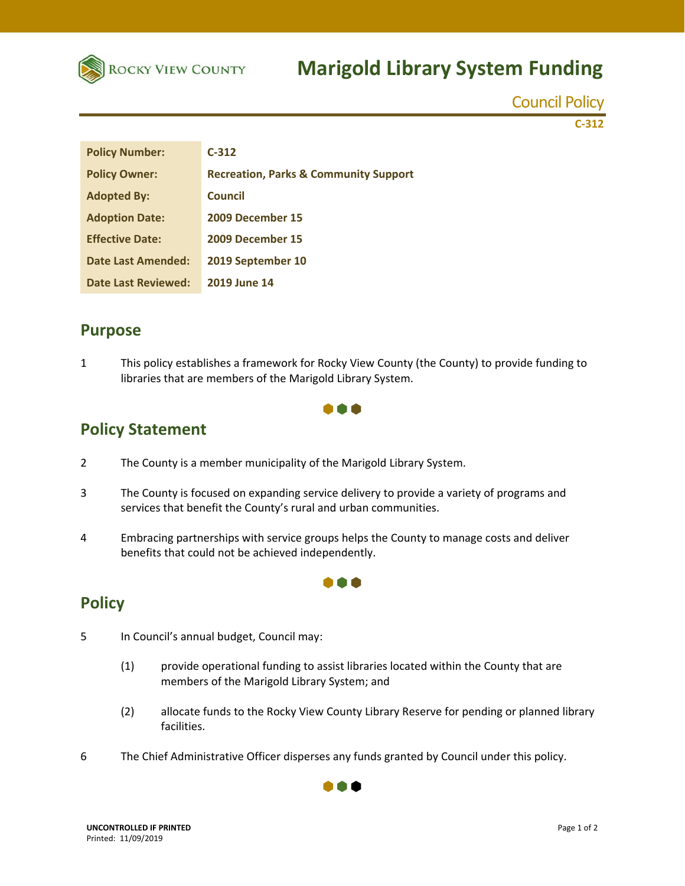

# **Marigold Library System Funding**

Council Policy

**C‐312**

| <b>Policy Number:</b>     | $C-312$                                          |
|---------------------------|--------------------------------------------------|
| <b>Policy Owner:</b>      | <b>Recreation, Parks &amp; Community Support</b> |
| <b>Adopted By:</b>        | <b>Council</b>                                   |
| <b>Adoption Date:</b>     | 2009 December 15                                 |
| <b>Effective Date:</b>    | 2009 December 15                                 |
| <b>Date Last Amended:</b> | 2019 September 10                                |
| Date Last Reviewed:       | <b>2019 June 14</b>                              |

### **Purpose**

1 This policy establishes a framework for Rocky View County (the County) to provide funding to libraries that are members of the Marigold Library System.



### **Policy Statement**

- 2 The County is a member municipality of the Marigold Library System.
- 3 The County is focused on expanding service delivery to provide a variety of programs and services that benefit the County's rural and urban communities.
- 4 Embracing partnerships with service groups helps the County to manage costs and deliver benefits that could not be achieved independently.

### **Policy**

- 5 In Council's annual budget, Council may:
	- (1) provide operational funding to assist libraries located within the County that are members of the Marigold Library System; and

000

- (2) allocate funds to the Rocky View County Library Reserve for pending or planned library facilities.
- 6 The Chief Administrative Officer disperses any funds granted by Council under this policy.